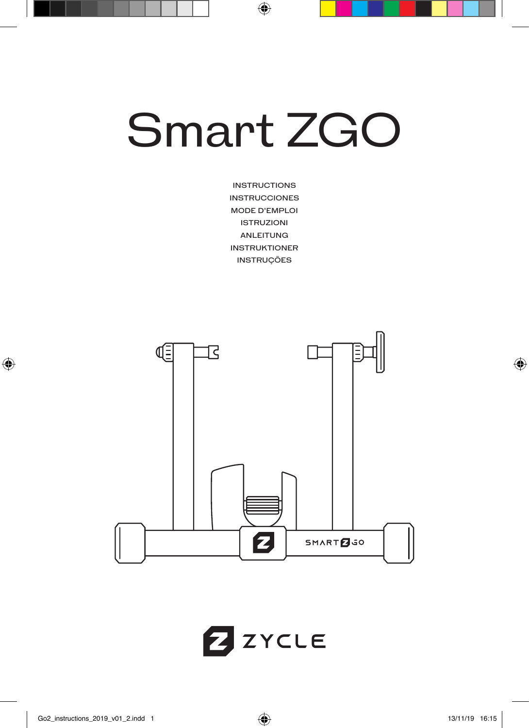# Smart ZGO

 $\bigoplus$ 

**INSTRUCTIONS INSTRUCCIONES MODE D'EMPLOI ISTRUZIONI ANLEITUNG INSTRUKTIONER INSTRUÇÕES**



ZZYCLE

 $\bigoplus$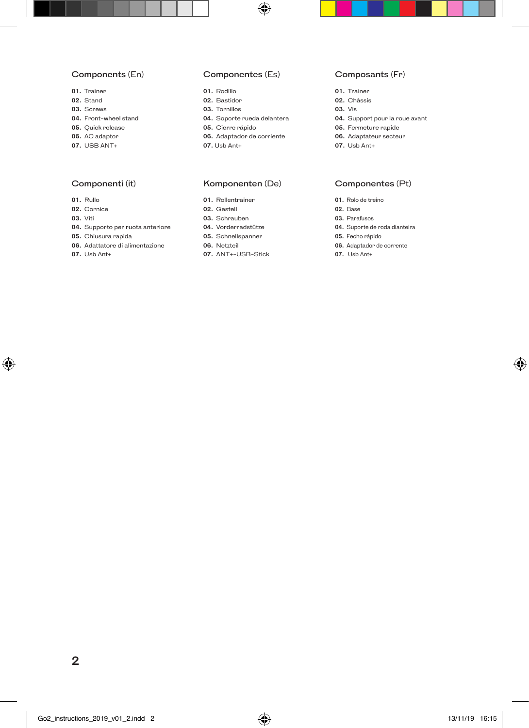### **Components** (En)

- **01.** Trainer
- **02.** Stand
- **03.** Screws
- **04.** Front-wheel stand
- **05.** Quick release
- **06.** AC adaptor
- **07.** USB ANT+

### **Componenti** (it)

- **01.** Rullo
- **02.** Cornice
- **03.** Viti

◈

- **04.** Supporto per ruota anteriore
- **05.** Chiusura rapida
- **06.** Adattatore di alimentazione
- **07.** Usb Ant+

### **Componentes** (Es)

⊕

- **01.** Rodillo
- **02.** Bastidor
- **03.** Tornillos
- **04.** Soporte rueda delantera
- **05.** Cierre rápido **06.** Adaptador de corriente
- **07.** Usb Ant+
- 

### **Komponenten** (De)

- **01.** Rollentrainer
- **02.** Gestell
- **03.** Schrauben
- **04.** Vorderradstütze
- **05.** Schnellspanner
- **06.** Netzteil
- **07.** ANT+-USB-Stick

### **Composants** (Fr)

- **01.** Trainer
- **02.** Châssis
- **03.** Vis
- **04.** Support pour la roue avant
- **05.** Fermeture rapide
- **06.** Adaptateur secteur
- **07.** Usb Ant+

### **Componentes** (Pt)

- **01.** Rolo de treino
- **02.** Base
- **03.** Parafusos
- **04.** Suporte de roda dianteira
- **05.** Fecho rápido
- **06.** Adaptador de corrente
- **07.** Usb Ant+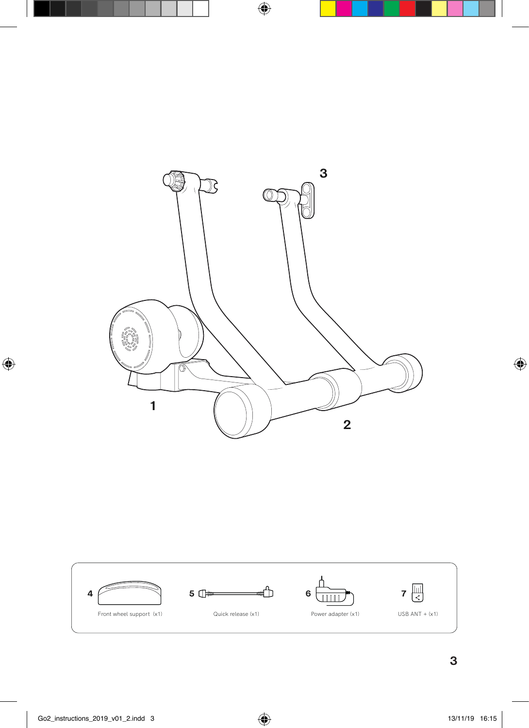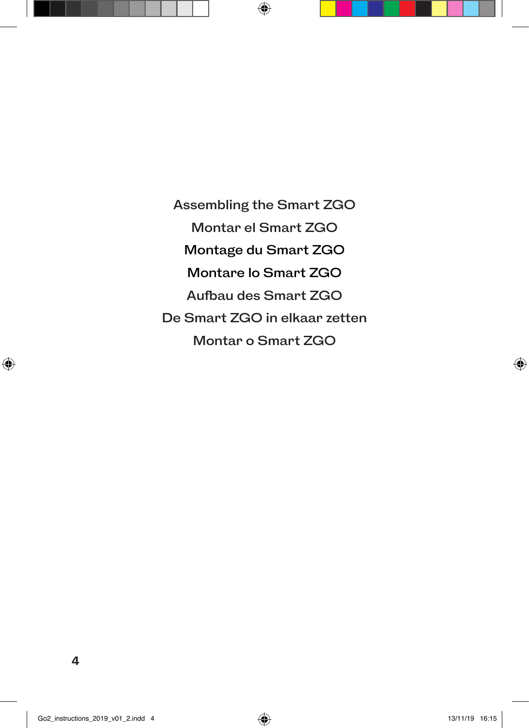**Assembling the Smart ZGO Montar el Smart ZGO Montage du Smart ZGO Montare lo Smart ZGO Aufbau des Smart ZGO De Smart ZGO in elkaar zetten Montar o Smart ZGO**

 $\bigoplus$ 

◈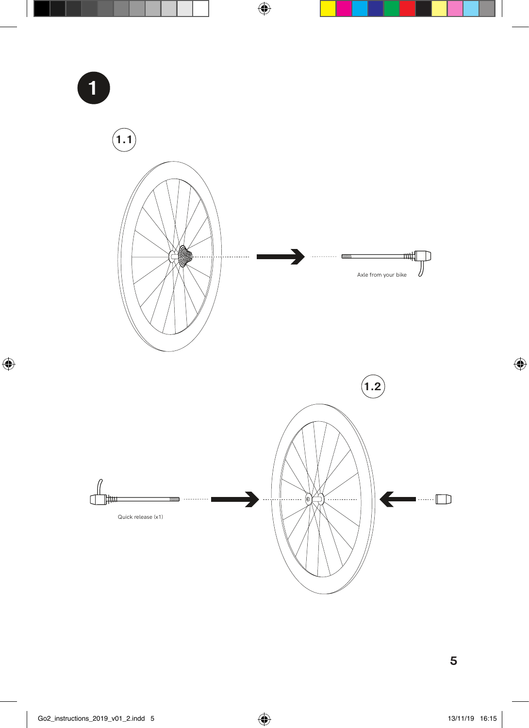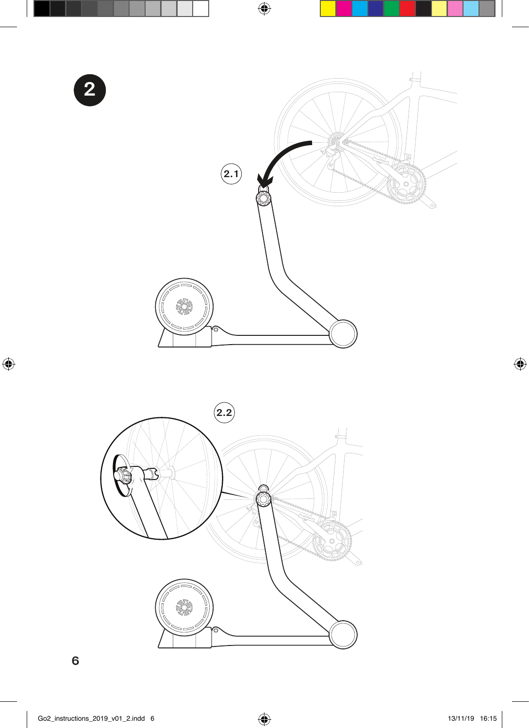



**6**

 $\bigoplus$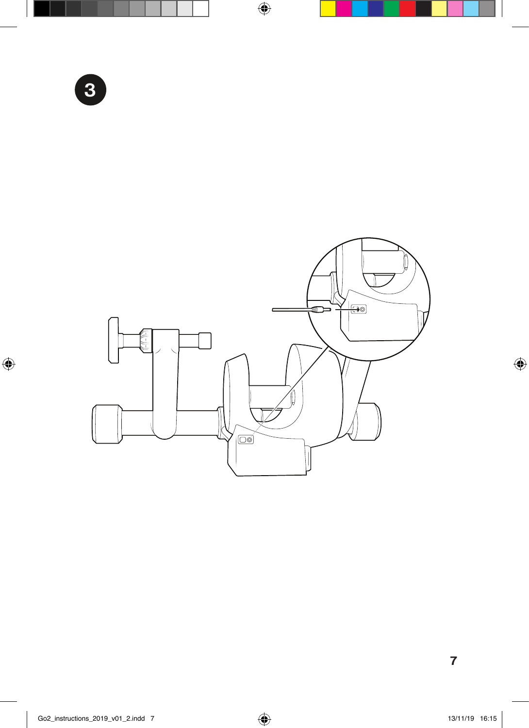



 $\bigoplus$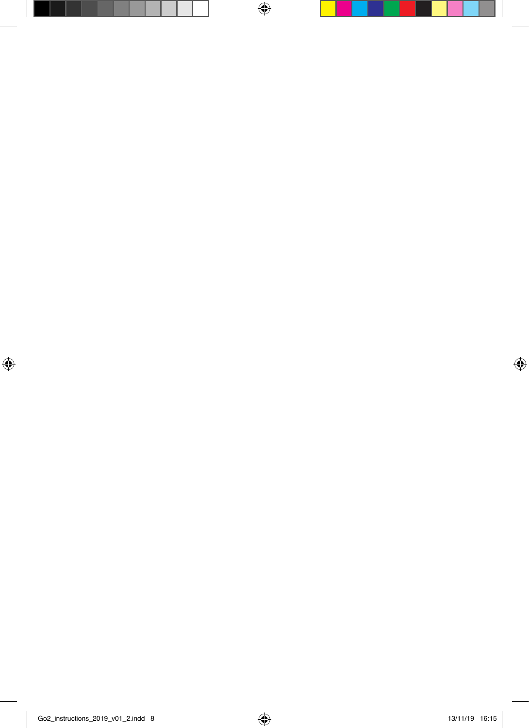

 $\bigoplus$ 

 $\overline{\phantom{a}}$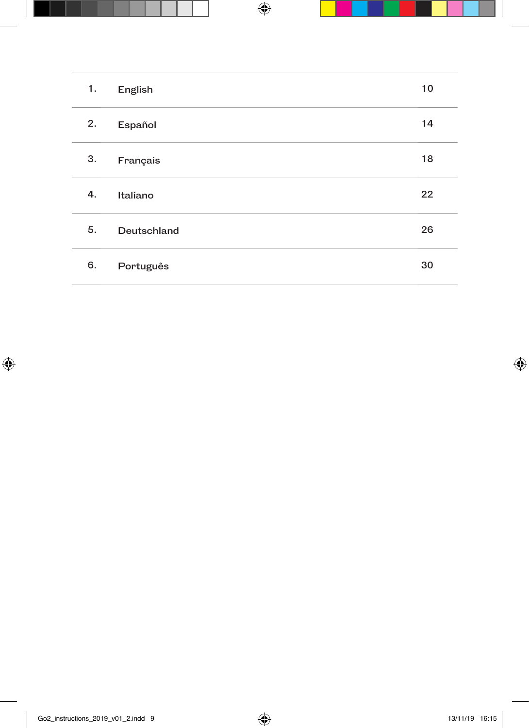| 1. | English     | 10 |
|----|-------------|----|
| 2. | Español     | 14 |
| 3. | Français    | 18 |
| 4. | Italiano    | 22 |
| 5. | Deutschland | 26 |
| 6. | Português   | 30 |

 $\bigcirc$ 

 $\overline{\phantom{a}}$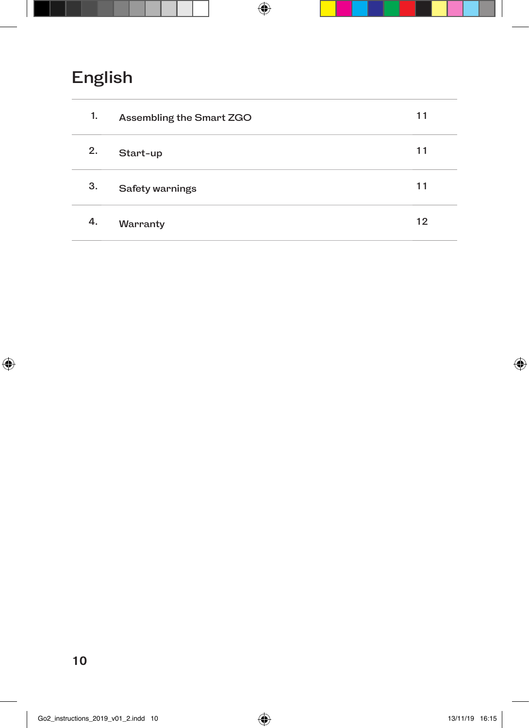# **English**

| 1. | Assembling the Smart ZGO | 11 |
|----|--------------------------|----|
| 2. | Start-up                 | 11 |
| 3. | Safety warnings          | 11 |
| 4. | Warranty                 | 12 |

 $\bigoplus$ 

 $\bigcirc$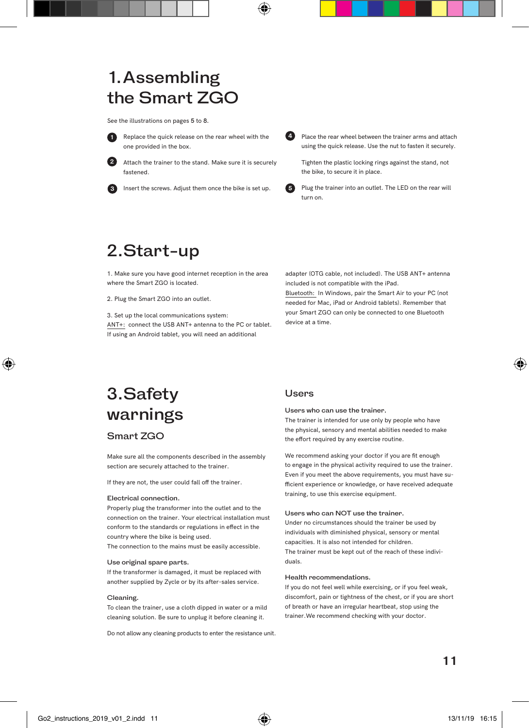### **1.Assembling the Smart ZGO**

See the illustrations on pages **5** to **8.**



Replace the quick release on the rear wheel with the one provided in the box.



◈

Attach the trainer to the stand. Make sure it is securely fastened.

Insert the screws. Adjust them once the bike is set up. **3**

Place the rear wheel between the trainer arms and attach using the quick release. Use the nut to fasten it securely.

Tighten the plastic locking rings against the stand, not the bike, to secure it in place.

Plug the trainer into an outlet. The LED on the rear will turn on. **5**

### **2.Start-up**

1. Make sure you have good internet reception in the area where the Smart ZGO is located.

2. Plug the Smart ZGO into an outlet.

3. Set up the local communications system: ANT+: connect the USB ANT+ antenna to the PC or tablet. If using an Android tablet, you will need an additional

adapter (OTG cable, not included). The USB ANT+ antenna included is not compatible with the iPad.

Bluetooth: In Windows, pair the Smart Air to your PC (not needed for Mac, iPad or Android tablets). Remember that your Smart ZGO can only be connected to one Bluetooth device at a time.

# **3.Safety warnings**

**Smart ZGO**

Make sure all the components described in the assembly section are securely attached to the trainer.

If they are not, the user could fall off the trainer.

### **Electrical connection.**

Properly plug the transformer into the outlet and to the connection on the trainer. Your electrical installation must conform to the standards or regulations in effect in the country where the bike is being used.

The connection to the mains must be easily accessible.

### **Use original spare parts.**

If the transformer is damaged, it must be replaced with another supplied by Zycle or by its after-sales service.

#### **Cleaning.**

To clean the trainer, use a cloth dipped in water or a mild cleaning solution. Be sure to unplug it before cleaning it.

Do not allow any cleaning products to enter the resistance unit.

### **Users**

**4**

€

**Users who can use the trainer.**

The trainer is intended for use only by people who have the physical, sensory and mental abilities needed to make the effort required by any exercise routine.

We recommend asking your doctor if you are fit enough to engage in the physical activity required to use the trainer. Even if you meet the above requirements, you must have sufficient experience or knowledge, or have received adequate training, to use this exercise equipment.

#### **Users who can NOT use the trainer.**

Under no circumstances should the trainer be used by individuals with diminished physical, sensory or mental capacities. It is also not intended for children. The trainer must be kept out of the reach of these individuals.

### **Health recommendations.**

If you do not feel well while exercising, or if you feel weak, discomfort, pain or tightness of the chest, or if you are short of breath or have an irregular heartbeat, stop using the trainer.We recommend checking with your doctor.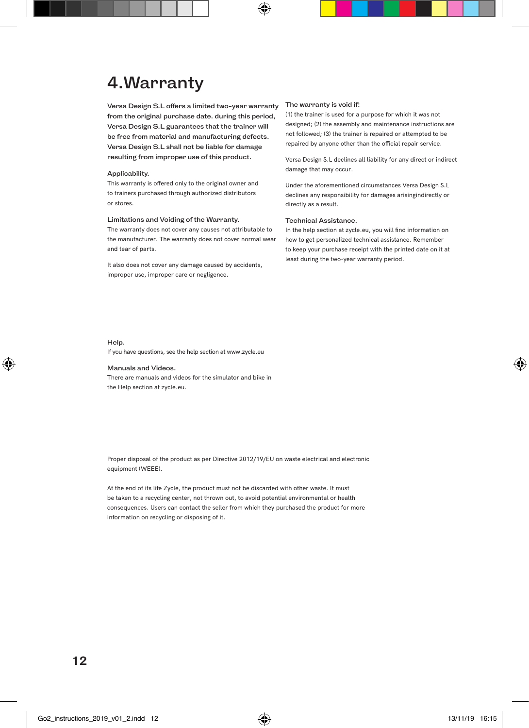### **4.Warranty**

**Versa Design S.L offers a limited two-year warranty from the original purchase date. during this period, Versa Design S.L guarantees that the trainer will be free from material and manufacturing defects. Versa Design S.L shall not be liable for damage resulting from improper use of this product.**

### **Applicability.**

This warranty is offered only to the original owner and to trainers purchased through authorized distributors or stores.

### **Limitations and Voiding of the Warranty.**

The warranty does not cover any causes not attributable to the manufacturer. The warranty does not cover normal wear and tear of parts.

It also does not cover any damage caused by accidents, improper use, improper care or negligence.

### **The warranty is void if:**

⊕

(1) the trainer is used for a purpose for which it was not designed; (2) the assembly and maintenance instructions are not followed; (3) the trainer is repaired or attempted to be repaired by anyone other than the official repair service.

Versa Design S.L declines all liability for any direct or indirect damage that may occur.

Under the aforementioned circumstances Versa Design S.L declines any responsibility for damages arisingindirectly or directly as a result.

### **Technical Assistance.**

In the help section at zycle.eu, you will find information on how to get personalized technical assistance. Remember to keep your purchase receipt with the printed date on it at least during the two-year warranty period.

### **Help.**

◈

If you have questions, see the help section at www.zycle.eu

#### **Manuals and Videos.**

There are manuals and videos for the simulator and bike in the Help section at zycle.eu.

Proper disposal of the product as per Directive 2012/19/EU on waste electrical and electronic equipment (WEEE).

At the end of its life Zycle, the product must not be discarded with other waste. It must be taken to a recycling center, not thrown out, to avoid potential environmental or health consequences. Users can contact the seller from which they purchased the product for more information on recycling or disposing of it.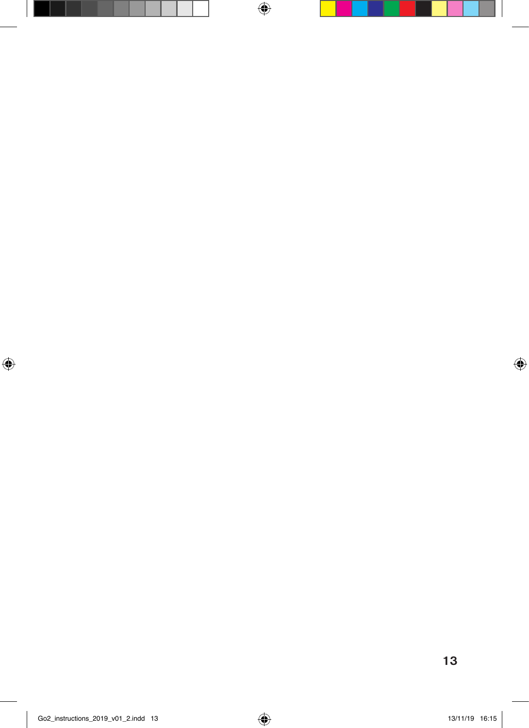

 $\bigoplus$ 

 $\overline{\phantom{a}}$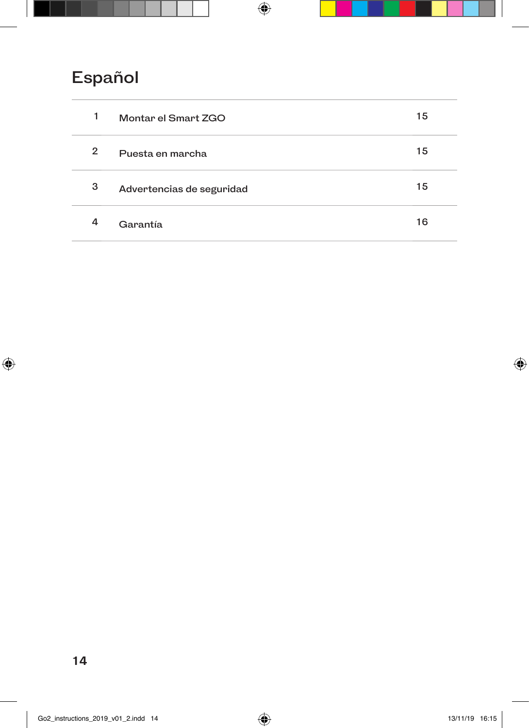# **Español**

| 1            | Montar el Smart ZGO       | 15 |
|--------------|---------------------------|----|
| $\mathbf{2}$ | Puesta en marcha          | 15 |
| 3            | Advertencias de seguridad | 15 |
| 4            | Garantía                  | 16 |

 $\bigoplus$ 

 $\bigcirc$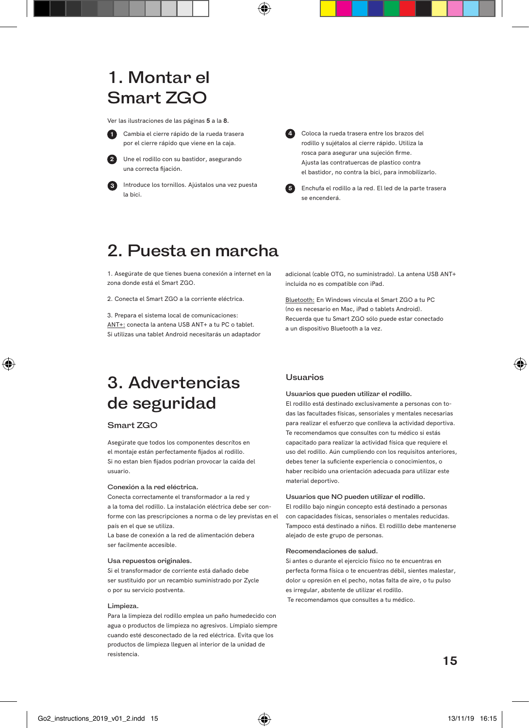### **1. Montar el Smart ZGO**

Ver las ilustraciones de las páginas **5** a la **8.** 



Cambia el cierre rápido de la rueda trasera por el cierre rápido que viene en la caja.



Une el rodillo con su bastidor, asegurando una correcta fijación.

Introduce los tornillos. Ajústalos una vez puesta la bici. **3**

Coloca la rueda trasera entre los brazos del rodillo y sujétalos al cierre rápido. Utiliza la rosca para asegurar una sujeción firme. Ajusta las contratuercas de plastico contra el bastidor, no contra la bici, para inmobilizarlo.

Enchufa el rodillo a la red. El led de la parte trasera se encenderá.

### **2. Puesta en marcha**

1. Asegúrate de que tienes buena conexión a internet en la zona donde está el Smart ZGO.

2. Conecta el Smart ZGO a la corriente eléctrica.

3. Prepara el sistema local de comunicaciones: ANT+: conecta la antena USB ANT+ a tu PC o tablet. Si utilizas una tablet Android necesitarás un adaptador

### **3. Advertencias de seguridad**

### **Smart ZGO**

◈

Asegúrate que todos los componentes descrítos en el montaje están perfectamente fijados al rodillo. Si no estan bien fijados podrían provocar la caída del usuario.

### **Conexión a la red eléctrica.**

Conecta correctamente el transformador a la red y a la toma del rodillo. La instalación eléctrica debe ser conforme con las prescripciones a norma o de ley previstas en el país en el que se utiliza.

La base de conexión a la red de alimentación debera ser facilmente accesible.

#### **Usa repuestos originales.**

Si el transformador de corriente está dañado debe ser sustituido por un recambio suministrado por Zycle o por su servicio postventa.

### **Limpieza.**

Para la limpieza del rodillo emplea un paño humedecido con agua o productos de limpieza no agresivos. Límpialo siempre cuando esté desconectado de la red eléctrica. Evita que los productos de limpieza lleguen al interior de la unidad de resistencia.

adicional (cable OTG, no suministrado). La antena USB ANT+ incluida no es compatible con iPad.

Bluetooth: En Windows vincula el Smart ZGO a tu PC (no es necesario en Mac, iPad o tablets Android). Recuerda que tu Smart ZGO sólo puede estar conectado a un dispositivo Bluetooth a la vez.

### **Usuarios**

**4**

€

**5**

### **Usuarios que pueden utilizar el rodillo.**

El rodillo está destinado exclusivamente a personas con todas las facultades físicas, sensoriales y mentales necesarias para realizar el esfuerzo que conlleva la actividad deportiva. Te recomendamos que consultes con tu médico si estás capacitado para realizar la actividad física que requiere el uso del rodillo. Aún cumpliendo con los requisitos anteriores, debes tener la suficiente experiencia o conocimientos, o haber recibido una orientación adecuada para utilizar este material deportivo.

### **Usuarios que NO pueden utilizar el rodillo.**

El rodillo bajo ningún concepto está destinado a personas con capacidades físicas, sensoriales o mentales reducidas. Tampoco está destinado a niños. El rodilllo debe mantenerse alejado de este grupo de personas.

### **Recomendaciones de salud.**

Si antes o durante el ejercicio físico no te encuentras en perfecta forma física o te encuentras débil, sientes malestar, dolor u opresión en el pecho, notas falta de aire, o tu pulso es irregular, abstente de utilizar el rodillo. Te recomendamos que consultes a tu médico.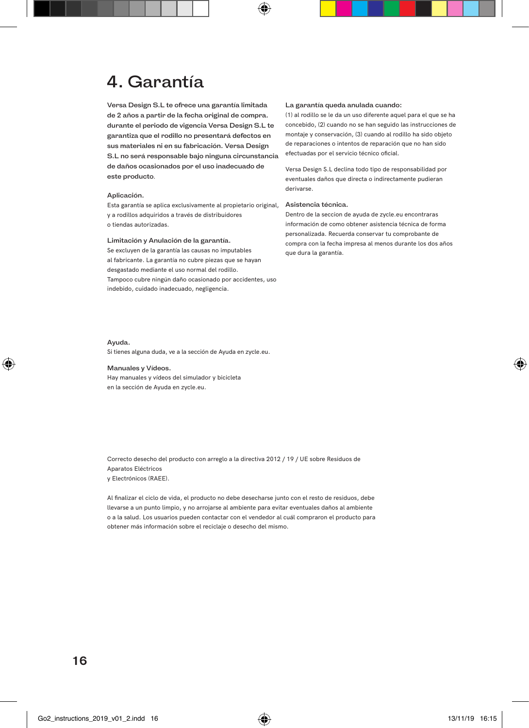### **4. Garantía**

**Versa Design S.L te ofrece una garantía limitada de 2 años a partir de la fecha original de compra. durante el periodo de vigencia Versa Design S.L te garantiza que el rodillo no presentará defectos en sus materiales ni en su fabricación. Versa Design S.L no será responsable bajo ninguna circunstancia de daños ocasionados por el uso inadecuado de este producto**.

#### **Aplicación.**

Esta garantía se aplica exclusivamente al propietario original, **Asistencia técnica.**  y a rodillos adquiridos a través de distribuidores o tiendas autorizadas.

#### **Limitación y Anulación de la garantía.**

Se excluyen de la garantía las causas no imputables al fabricante. La garantía no cubre piezas que se hayan desgastado mediante el uso normal del rodillo. Tampoco cubre ningún daño ocasionado por accidentes, uso indebido, cuidado inadecuado, negligencia.

### **La garantía queda anulada cuando:**

(1) al rodillo se le da un uso diferente aquel para el que se ha concebido, (2) cuando no se han seguido las instrucciones de montaje y conservación, (3) cuando al rodillo ha sido objeto de reparaciones o intentos de reparación que no han sido efectuadas por el servicio técnico oficial.

Versa Design S.L declina todo tipo de responsabilidad por eventuales daños que directa o indirectamente pudieran derivarse.

⊕

Dentro de la seccion de ayuda de zycle.eu encontraras información de como obtener asistencia técnica de forma personalizada. Recuerda conservar tu comprobante de compra con la fecha impresa al menos durante los dos años que dura la garantía.

### **Ayuda.**

◈

Si tienes alguna duda, ve a la sección de Ayuda en zycle.eu.

### **Manuales y Vídeos.**

Hay manuales y vídeos del simulador y bicicleta en la sección de Ayuda en zycle.eu.

Correcto desecho del producto con arreglo a la directiva 2012 / 19 / UE sobre Residuos de Aparatos Eléctricos y Electrónicos (RAEE).

Al finalizar el ciclo de vida, el producto no debe desecharse junto con el resto de residuos, debe llevarse a un punto limpio, y no arrojarse al ambiente para evitar eventuales daños al ambiente o a la salud. Los usuarios pueden contactar con el vendedor al cuál compraron el producto para obtener más información sobre el reciclaje o desecho del mismo.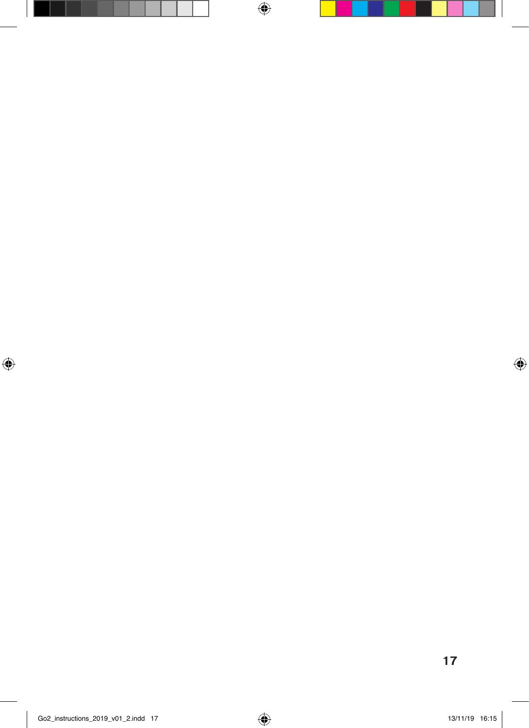

 $\bigoplus$ 

 $\overline{\phantom{a}}$ 

 $\bigoplus$ 

**17**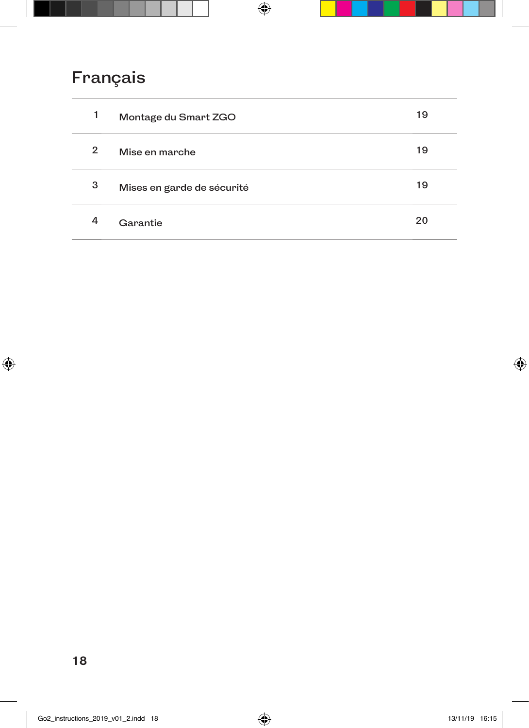# **Français**

| 1              | Montage du Smart ZGO       | 19 |
|----------------|----------------------------|----|
| $\overline{2}$ | Mise en marche             | 19 |
| 3              | Mises en garde de sécurité | 19 |
| 4              | Garantie                   | 20 |

 $\bigoplus$ 

 $\bigcirc$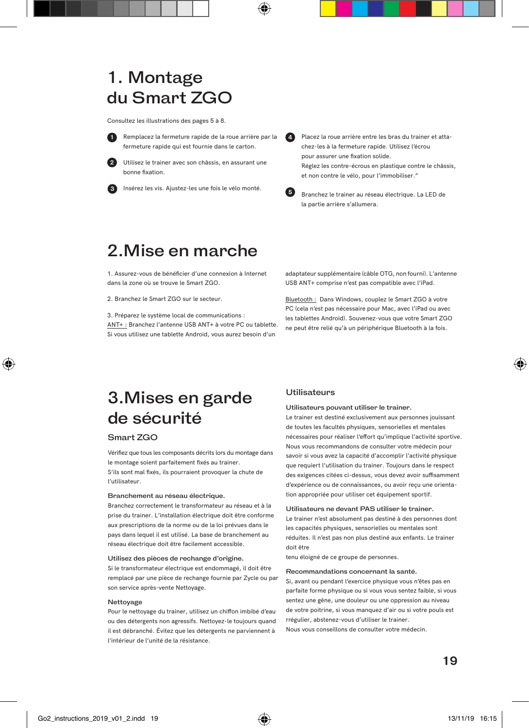### **1. Montage du Smart ZGO**

Consultez les illustrations des pages 5 à 8.



Remplacez la fermeture rapide de la roue arrière par la fermeture rapide qui est fournie dans le carton.



◈

Utilisez le trainer avec son châssis, en assurant une bonne fixation.

Insérez les vis. Ajustez-les une fois le vélo monté. **3**

Placez la roue arrière entre les bras du trainer et attachez-les à la fermeture rapide. Utilisez l'écrou pour assurer une fixation solide. Réglez les contre-écrous en plastique contre le châssis,

et non contre le vélo, pour l'immobiliser." Branchez le trainer au réseau électrique. La LED de

la partie arrière s'allumera.

**4**

€

**5**

### **2.Mise en marche**

1. Assurez-vous de bénéficier d'une connexion à Internet dans la zone où se trouve le Smart ZGO.

2. Branchez le Smart ZGO sur le secteur.

3. Préparez le système local de communications : ANT+ : Branchez l'antenne USB ANT+ à votre PC ou tablette. Si vous utilisez une tablette Android, vous aurez besoin d'un

adaptateur supplémentaire (câble OTG, non fourni). L'antenne USB ANT+ comprise n'est pas compatible avec l'iPad.

Bluetooth : Dans Windows, couplez le Smart ZGO à votre PC (cela n'est pas nécessaire pour Mac, avec l'iPad ou avec les tablettes Android). Souvenez-vous que votre Smart ZGO ne peut être relié qu'à un périphérique Bluetooth à la fois.

### **3.Mises en garde de sécurité**

### **Smart ZGO**

Vérifiez que tous les composants décrits lors du montage dans le montage soient parfaitement fixés au trainer. S'ils sont mal fixés, ils pourraient provoquer la chute de l'utilisateur.

#### **Branchement au réseau électrique.**

Branchez correctement le transformateur au réseau et à la prise du trainer. L'installation électrique doit être conforme aux prescriptions de la norme ou de la loi prévues dans le pays dans lequel il est utilisé. La base de branchement au réseau électrique doit être facilement accessible.

### **Utilisez des pièces de rechange d'origine.**

Si le transformateur électrique est endommagé, il doit être remplacé par une pièce de rechange fournie par Zycle ou par son service après-vente Nettoyage.

### **Nettoyage**

Pour le nettoyage du trainer, utilisez un chiffon imbibé d'eau ou des détergents non agressifs. Nettoyez-le toujours quand il est débranché. Évitez que les détergents ne parviennent à l'intérieur de l'unité de la résistance.

### **Utilisateurs**

### **Utilisateurs pouvant utiliser le trainer.**

Le trainer est destiné exclusivement aux personnes jouissant de toutes les facultés physiques, sensorielles et mentales nécessaires pour réaliser l'effort qu'implique l'activité sportive. Nous vous recommandons de consulter votre médecin pour savoir si vous avez la capacité d'accomplir l'activité physique que requiert l'utilisation du trainer. Toujours dans le respect des exigences citées ci-dessus, vous devez avoir suffisamment d'expérience ou de connaissances, ou avoir reçu une orientation appropriée pour utiliser cet équipement sportif.

#### **Utilisateurs ne devant PAS utiliser le trainer.**

Le trainer n'est absolument pas destiné à des personnes dont les capacités physiques, sensorielles ou mentales sont réduites. Il n'est pas non plus destiné aux enfants. Le trainer doit être

tenu éloigné de ce groupe de personnes.

### **Recommandations concernant la santé.**

Si, avant ou pendant l'exercice physique vous n'êtes pas en parfaite forme physique ou si vous vous sentez faible, si vous sentez une gêne, une douleur ou une oppression au niveau de votre poitrine, si vous manquez d'air ou si votre pouls est rrégulier, abstenez-vous d'utiliser le trainer. Nous vous conseillons de consulter votre médecin.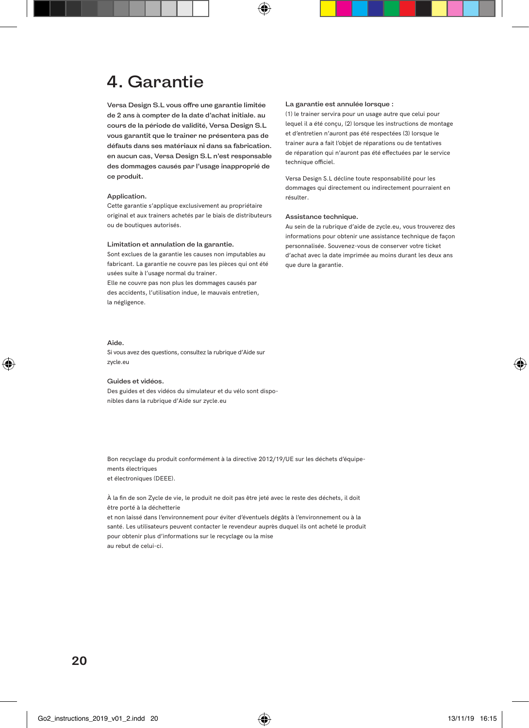### **4. Garantie**

**Versa Design S.L vous offre une garantie limitée de 2 ans à compter de la date d'achat initiale. au cours de la période de validité, Versa Design S.L vous garantit que le trainer ne présentera pas de défauts dans ses matériaux ni dans sa fabrication. en aucun cas, Versa Design S.L n'est responsable des dommages causés par l'usage inapproprié de ce produit.**

#### **Application.**

Cette garantie s'applique exclusivement au propriétaire original et aux trainers achetés par le biais de distributeurs ou de boutiques autorisés.

### **Limitation et annulation de la garantie.**

Sont exclues de la garantie les causes non imputables au fabricant. La garantie ne couvre pas les pièces qui ont été usées suite à l'usage normal du trainer.

Elle ne couvre pas non plus les dommages causés par des accidents, l'utilisation indue, le mauvais entretien, la négligence.

### **Aide.**

◈

Si vous avez des questions, consultez la rubrique d'Aide sur zycle.eu

### **Guides et vidéos.**

Des guides et des vidéos du simulateur et du vélo sont disponibles dans la rubrique d'Aide sur zycle.eu

Bon recyclage du produit conformément à la directive 2012/19/UE sur les déchets d'équipements électriques et électroniques (DEEE).

À la fin de son Zycle de vie, le produit ne doit pas être jeté avec le reste des déchets, il doit être porté à la déchetterie

et non laissé dans l'environnement pour éviter d'éventuels dégâts à l'environnement ou à la santé. Les utilisateurs peuvent contacter le revendeur auprès duquel ils ont acheté le produit pour obtenir plus d'informations sur le recyclage ou la mise au rebut de celui-ci.

### **La garantie est annulée lorsque :**

€

(1) le trainer servira pour un usage autre que celui pour lequel il a été conçu, (2) lorsque les instructions de montage et d'entretien n'auront pas été respectées (3) lorsque le trainer aura a fait l'objet de réparations ou de tentatives de réparation qui n'auront pas été effectuées par le service technique officiel.

Versa Design S.L décline toute responsabilité pour les dommages qui directement ou indirectement pourraient en résulter.

#### **Assistance technique.**

Au sein de la rubrique d'aide de zycle.eu, vous trouverez des informations pour obtenir une assistance technique de façon personnalisée. Souvenez-vous de conserver votre ticket d'achat avec la date imprimée au moins durant les deux ans que dure la garantie.

**20**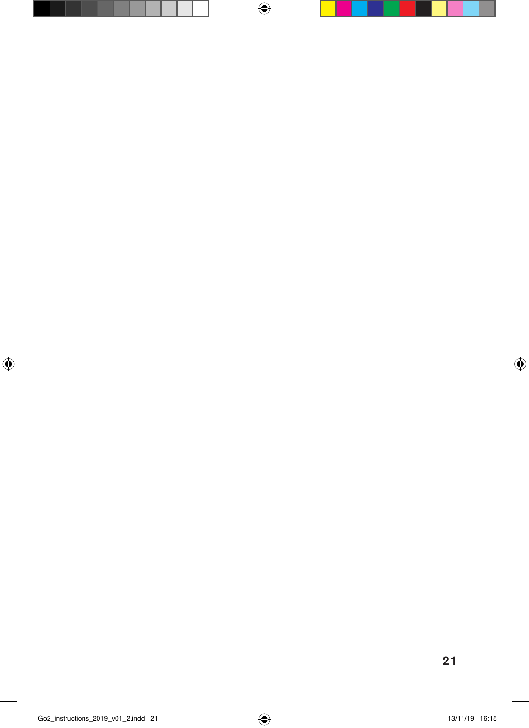

 $\bigoplus$ 

 $\overline{\phantom{a}}$ 

 $\bigoplus$ 

**21**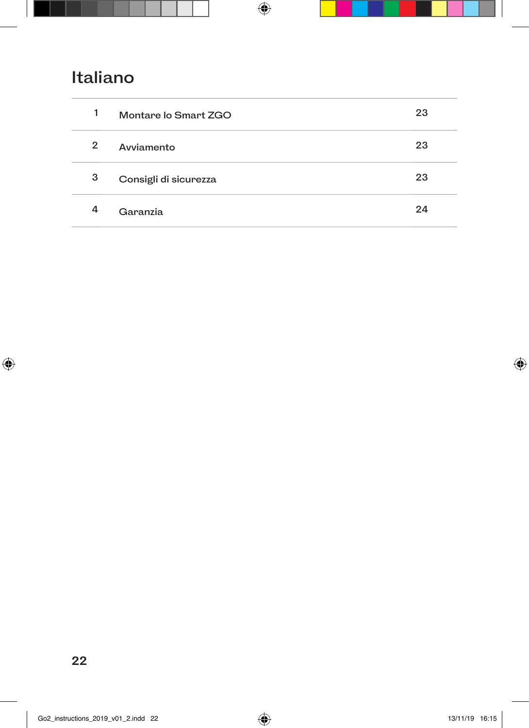## **Italiano**

| 1                     | Montare lo Smart ZGO  | 23 |
|-----------------------|-----------------------|----|
| $\mathbf{2}^{\prime}$ | Avviamento            | 23 |
| 3                     | Consigli di sicurezza | 23 |
| 4                     | Garanzia              | 24 |

 $\bigoplus$ 

 $\bigcirc$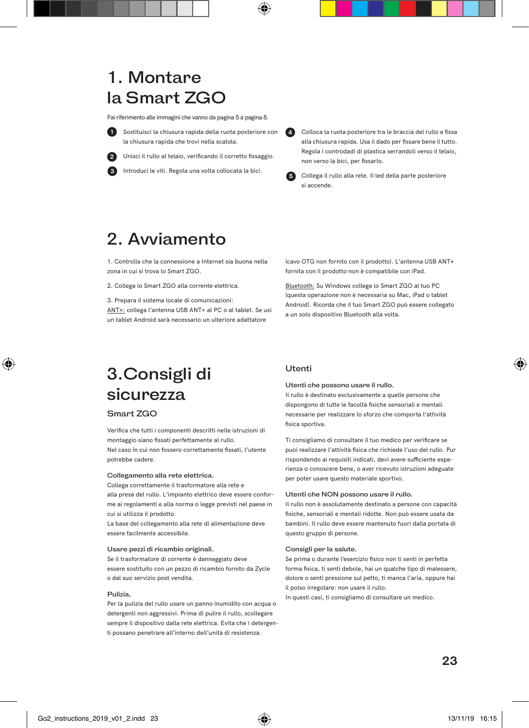### **1. Montare la Smart ZGO**

Fai riferimento alle immagini che vanno da pagina 5 a pagina 8.

€

Sostituisci la chiusura rapida della ruota posteriore con la chiusura rapida che trovi nella scatola.

**1**

Unisci il rullo al telaio, verificando il corretto fissaggio. **2**

Introduci le viti. Regola una volta collocata la bici. **3**

- Colloca la ruota posteriore tra le braccia del rullo e fissa alla chiusura rapida. Usa il dado per fissare bene il tutto. Regola i controdadi di plastica serrandoli verso il telaio, non verso la bici, per fissarlo. **4**
- Collega il rullo alla rete. Il led della parte posteriore si accende. **5**

### **2. Avviamento**

1. Controlla che la connessione a Internet sia buona nella zona in cui si trova lo Smart ZGO.

2. Collega lo Smart ZGO alla corrente elettrica.

3. Prepara il sistema locale di comunicazioni:

ANT+: collega l'antenna USB ANT+ al PC o al tablet. Se usi un tablet Android sarà necessario un ulteriore adattatore

(cavo OTG non fornito con il prodotto). L'antenna USB ANT+ fornita con il prodotto non è compatibile con iPad.

Bluetooth: Su Windows collega lo Smart ZGO al tuo PC (questa operazione non è necessaria su Mac, iPad o tablet Android). Ricorda che il tuo Smart ZGO può essere collegato a un solo dispositivo Bluetooth alla volta.

### **3.Consigli di sicurezza**

### **Smart ZGO**

⊕

Verifica che tutti i componenti descritti nelle istruzioni di montaggio siano fissati perfettamente al rullo. Nel caso in cui non fossero correttamente fissati, l'utente potrebbe cadere.

### **Collegamento alla rete elettrica.**

Collega correttamente il trasformatore alla rete e alla presa del rullo. L'impianto elettrico deve essere conforme ai regolamenti e alla norma o legge previsti nel paese in cui si utilizza il prodotto.

La base del collegamento alla rete di alimentazione deve essere facilmente accessibile.

### **Usare pezzi di ricambio originali.**

Se il trasformatore di corrente è danneggiato deve essere sostituito con un pezzo di ricambio fornito da Zycle o dal suo servizio post vendita.

#### **Pulizia.**

Per la pulizia del rullo usare un panno inumidito con acqua o detergenti non aggressivi. Prima di pulire il rullo, scollegare sempre il dispositivo dalla rete elettrica. Evita che i detergenti possano penetrare all'interno dell'unità di resistenza.

### **Utenti**

**Utenti che possono usare il rullo.**

Il rullo è destinato esclusivamente a quelle persone che dispongono di tutte le facoltà fisiche sensoriali e mentali necessarie per realizzare lo sforzo che comporta l'attività fisica sportiva.

Ti consigliamo di consultare il tuo medico per verificare se puoi realizzare l'attività fisica che richiede l'uso del rullo. Pur rispondendo ai requisiti indicati, devi avere sufficiente esperienza o conoscere bene, o aver ricevuto istruzioni adeguate per poter usare questo materiale sportivo.

### **Utenti che NON possono usare il rullo.**

Il rullo non è assolutamente destinato a persone con capacità fisiche, sensoriali e mentali ridotte. Non può essere usata da bambini. Il rullo deve essere mantenuto fuori dalla portata di questo gruppo di persone.

### **Consigli per la salute.**

Se prima o durante l'esercizio fisico non ti senti in perfetta forma fisica, ti senti debole, hai un qualche tipo di malessere, dolore o senti pressione sul petto, ti manca l'aria, oppure hai il polso irregolare: non usare il rullo.

In questi casi, ti consigliamo di consultare un medico.

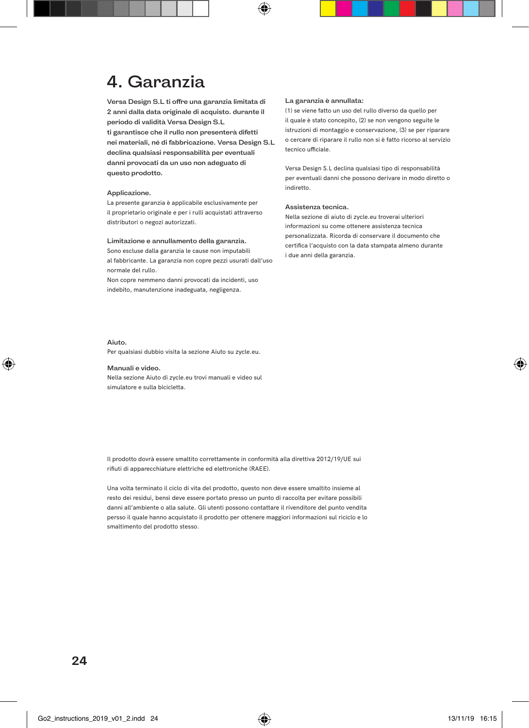### **4. Garanzia**

**Versa Design S.L ti offre una garanzia limitata di 2 anni dalla data originale di acquisto. durante il periodo di validità Versa Design S.L ti garantisce che il rullo non presenterà difetti nei materiali, né di fabbricazione. Versa Design S.L declina qualsiasi responsabilità per eventuali danni provocati da un uso non adeguato di questo prodotto.**

### **Applicazione.**

La presente garanzia è applicabile esclusivamente per il proprietario originale e per i rulli acquistati attraverso distributori o negozi autorizzati.

### **Limitazione e annullamento della garanzia.**

Sono escluse dalla garanzia le cause non imputabili al fabbricante. La garanzia non copre pezzi usurati dall'uso normale del rullo.

Non copre nemmeno danni provocati da incidenti, uso indebito, manutenzione inadeguata, negligenza.

### **La garanzia è annullata:**

€

(1) se viene fatto un uso del rullo diverso da quello per il quale è stato concepito, (2) se non vengono seguite le istruzioni di montaggio e conservazione, (3) se per riparare o cercare di riparare il rullo non si è fatto ricorso al servizio tecnico ufficiale.

Versa Design S.L declina qualsiasi tipo di responsabilità per eventuali danni che possono derivare in modo diretto o indiretto.

### **Assistenza tecnica.**

Nella sezione di aiuto di zycle.eu troverai ulteriori informazioni su come ottenere assistenza tecnica personalizzata. Ricorda di conservare il documento che certifica l'acquisto con la data stampata almeno durante i due anni della garanzia.

### **Aiuto.**

◈

Per qualsiasi dubbio visita la sezione Aiuto su zycle.eu.

### **Manuali e video.**

Nella sezione Aiuto di zycle.eu trovi manuali e video sul simulatore e sulla bicicletta.

Il prodotto dovrà essere smaltito correttamente in conformità alla direttiva 2012/19/UE sui rifiuti di apparecchiature elettriche ed elettroniche (RAEE).

Una volta terminato il ciclo di vita del prodotto, questo non deve essere smaltito insieme al resto dei residui, bensì deve essere portato presso un punto di raccolta per evitare possibili danni all'ambiente o alla salute. Gli utenti possono contattare il rivenditore del punto vendita persso il quale hanno acquistato il prodotto per ottenere maggiori informazioni sul riciclo e lo smaltimento del prodotto stesso.

### **24**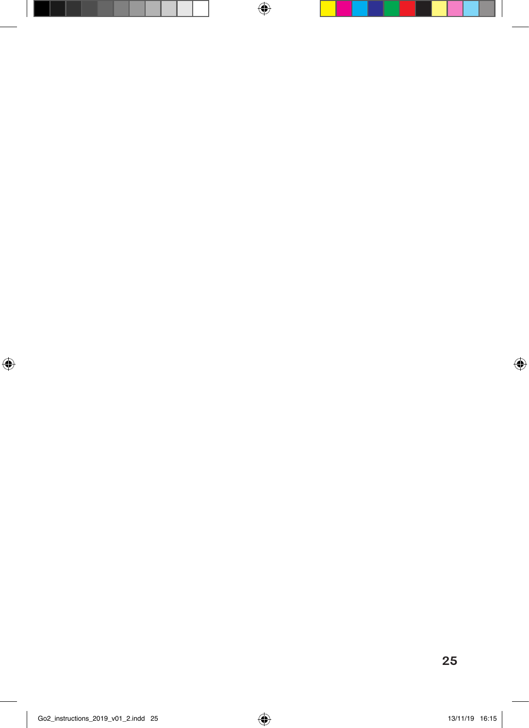

 $\bigoplus$ 

 $\overline{\phantom{a}}$ 

 $\bigoplus$ 

**25**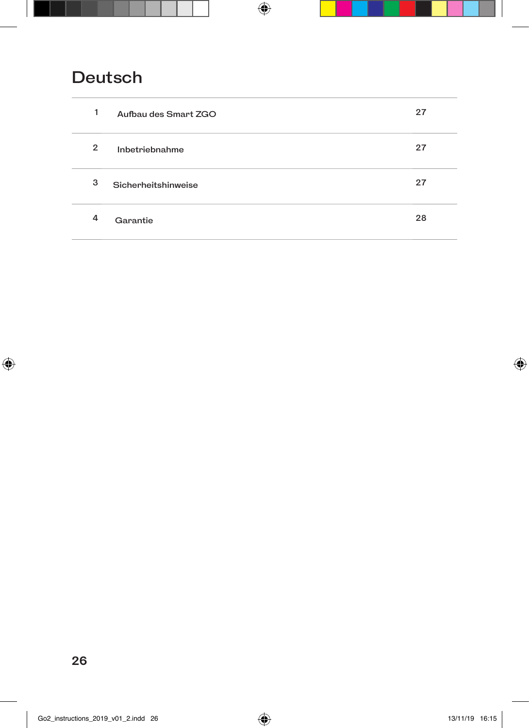# **Deutsch**

| 1              | Aufbau des Smart ZGO | 27 |
|----------------|----------------------|----|
| $\overline{2}$ | Inbetriebnahme       | 27 |
| 3              | Sicherheitshinweise  | 27 |
| 4              | Garantie             | 28 |

 $\bigoplus$ 

 $\bigoplus$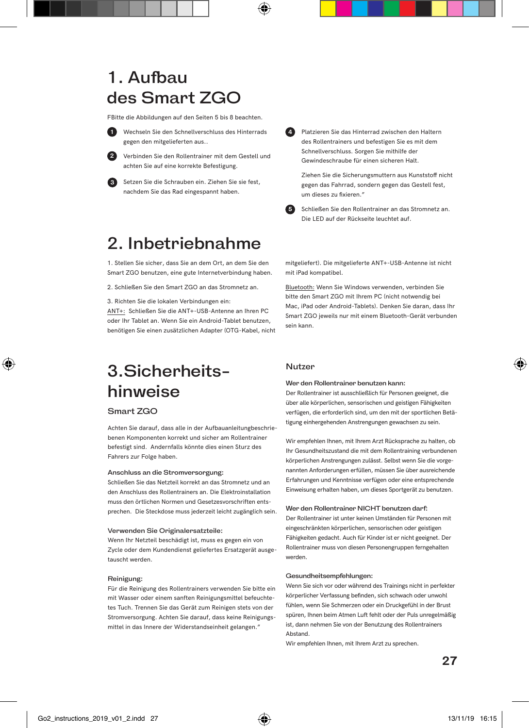### **1. Aufbau des Smart ZGO**

FBitte die Abbildungen auf den Seiten 5 bis 8 beachten.



Wechseln Sie den Schnellverschluss des Hinterrads gegen den mitgelieferten aus..



Verbinden Sie den Rollentrainer mit dem Gestell und achten Sie auf eine korrekte Befestigung.

- Setzen Sie die Schrauben ein. Ziehen Sie sie fest, nachdem Sie das Rad eingespannt haben. **3**
- Platzieren Sie das Hinterrad zwischen den Haltern des Rollentrainers und befestigen Sie es mit dem Schnellverschluss. Sorgen Sie mithilfe der Gewindeschraube für einen sicheren Halt. **4**

Ziehen Sie die Sicherungsmuttern aus Kunststoff nicht gegen das Fahrrad, sondern gegen das Gestell fest, um dieses zu fixieren."



⊕

Schließen Sie den Rollentrainer an das Stromnetz an. Die LED auf der Rückseite leuchtet auf.

### **2. Inbetriebnahme**

1. Stellen Sie sicher, dass Sie an dem Ort, an dem Sie den Smart ZGO benutzen, eine gute Internetverbindung haben.

2. Schließen Sie den Smart ZGO an das Stromnetz an.

3. Richten Sie die lokalen Verbindungen ein: ANT+: Schließen Sie die ANT+-USB-Antenne an Ihren PC oder Ihr Tablet an. Wenn Sie ein Android-Tablet benutzen, benötigen Sie einen zusätzlichen Adapter (OTG-Kabel, nicht

### **3.Sicherheitshinweise**

### **Smart ZGO**

⊕

Achten Sie darauf, dass alle in der Aufbauanleitungbeschriebenen Komponenten korrekt und sicher am Rollentrainer befestigt sind. Andernfalls könnte dies einen Sturz des Fahrers zur Folge haben.

### **Anschluss an die Stromversorgung:**

Schließen Sie das Netzteil korrekt an das Stromnetz und an den Anschluss des Rollentrainers an. Die Elektroinstallation muss den örtlichen Normen und Gesetzesvorschriften entsprechen. Die Steckdose muss jederzeit leicht zugänglich sein.

### **Verwenden Sie Originalersatzteile:**

Wenn Ihr Netzteil beschädigt ist, muss es gegen ein von Zycle oder dem Kundendienst geliefertes Ersatzgerät ausgetauscht werden.

### **Reinigung:**

Für die Reinigung des Rollentrainers verwenden Sie bitte ein mit Wasser oder einem sanften Reinigungsmittel befeuchtetes Tuch. Trennen Sie das Gerät zum Reinigen stets von der Stromversorgung. Achten Sie darauf, dass keine Reinigungsmittel in das Innere der Widerstandseinheit gelangen."

mitgeliefert). Die mitgelieferte ANT+-USB-Antenne ist nicht mit iPad kompatibel.

Bluetooth: Wenn Sie Windows verwenden, verbinden Sie bitte den Smart ZGO mit Ihrem PC (nicht notwendig bei Mac, iPad oder Android-Tablets). Denken Sie daran, dass Ihr Smart ZGO jeweils nur mit einem Bluetooth-Gerät verbunden sein kann.

### **Nutzer**

### **Wer den Rollentrainer benutzen kann:**

Der Rollentrainer ist ausschließlich für Personen geeignet, die über alle körperlichen, sensorischen und geistigen Fähigkeiten verfügen, die erforderlich sind, um den mit der sportlichen Betätigung einhergehenden Anstrengungen gewachsen zu sein.

Wir empfehlen Ihnen, mit Ihrem Arzt Rücksprache zu halten, ob Ihr Gesundheitszustand die mit dem Rollentraining verbundenen körperlichen Anstrengungen zulässt. Selbst wenn Sie die vorgenannten Anforderungen erfüllen, müssen Sie über ausreichende Erfahrungen und Kenntnisse verfügen oder eine entsprechende Einweisung erhalten haben, um dieses Sportgerät zu benutzen.

#### **Wer den Rollentrainer NICHT benutzen darf:**

Der Rollentrainer ist unter keinen Umständen für Personen mit eingeschränkten körperlichen, sensorischen oder geistigen Fähigkeiten gedacht. Auch für Kinder ist er nicht geeignet. Der Rollentrainer muss von diesen Personengruppen ferngehalten werden.

### **Gesundheitsempfehlungen:**

Wenn Sie sich vor oder während des Trainings nicht in perfekter körperlicher Verfassung befinden, sich schwach oder unwohl fühlen, wenn Sie Schmerzen oder ein Druckgefühl in der Brust spüren, Ihnen beim Atmen Luft fehlt oder der Puls unregelmäßig ist, dann nehmen Sie von der Benutzung des Rollentrainers Abstand.

Wir empfehlen Ihnen, mit Ihrem Arzt zu sprechen.

Go2\_instructions\_2019\_v01\_2.indd 27 13/11/19 16:15

⊕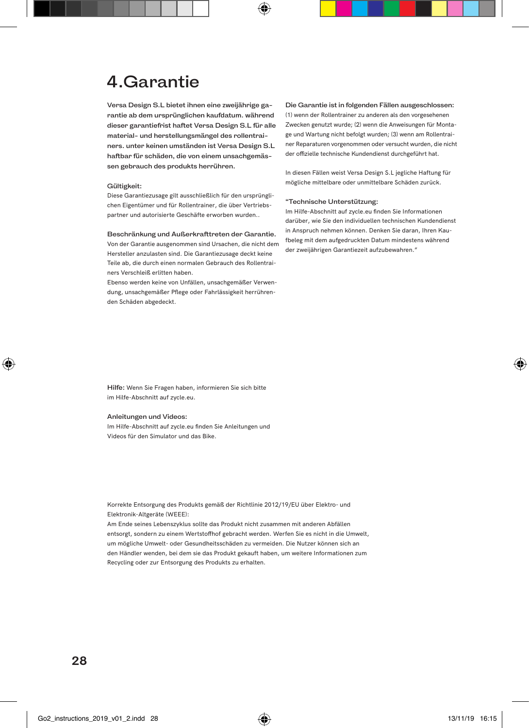### **4.Garantie**

**Versa Design S.L bietet ihnen eine zweijährige garantie ab dem ursprünglichen kaufdatum. während dieser garantiefrist haftet Versa Design S.L für alle material- und herstellungsmängel des rollentrainers. unter keinen umständen ist Versa Design S.L haftbar für schäden, die von einem unsachgemässen gebrauch des produkts herrühren.**

€

### **Gültigkeit:**

Diese Garantiezusage gilt ausschließlich für den ursprünglichen Eigentümer und für Rollentrainer, die über Vertriebspartner und autorisierte Geschäfte erworben wurden..

### **Beschränkung und Außerkrafttreten der Garantie.**

Von der Garantie ausgenommen sind Ursachen, die nicht dem Hersteller anzulasten sind. Die Garantiezusage deckt keine Teile ab, die durch einen normalen Gebrauch des Rollentrainers Verschleiß erlitten haben.

Ebenso werden keine von Unfällen, unsachgemäßer Verwendung, unsachgemäßer Pflege oder Fahrlässigkeit herrührenden Schäden abgedeckt.

**Die Garantie ist in folgenden Fällen ausgeschlossen:**  (1) wenn der Rollentrainer zu anderen als den vorgesehenen Zwecken genutzt wurde; (2) wenn die Anweisungen für Montage und Wartung nicht befolgt wurden; (3) wenn am Rollentrainer Reparaturen vorgenommen oder versucht wurden, die nicht der offizielle technische Kundendienst durchgeführt hat.

In diesen Fällen weist Versa Design S.L jegliche Haftung für mögliche mittelbare oder unmittelbare Schäden zurück.

### **"Technische Unterstützung:**

Im Hilfe-Abschnitt auf zycle.eu finden Sie Informationen darüber, wie Sie den individuellen technischen Kundendienst in Anspruch nehmen können. Denken Sie daran, Ihren Kaufbeleg mit dem aufgedruckten Datum mindestens während der zweijährigen Garantiezeit aufzubewahren."

**Hilfe:** Wenn Sie Fragen haben, informieren Sie sich bitte im Hilfe-Abschnitt auf zycle.eu.

#### **Anleitungen und Videos:**

Im Hilfe-Abschnitt auf zycle.eu finden Sie Anleitungen und Videos für den Simulator und das Bike.

Korrekte Entsorgung des Produkts gemäß der Richtlinie 2012/19/EU über Elektro- und Elektronik-Altgeräte (WEEE):

Am Ende seines Lebenszyklus sollte das Produkt nicht zusammen mit anderen Abfällen entsorgt, sondern zu einem Wertstoffhof gebracht werden. Werfen Sie es nicht in die Umwelt, um mögliche Umwelt- oder Gesundheitsschäden zu vermeiden. Die Nutzer können sich an den Händler wenden, bei dem sie das Produkt gekauft haben, um weitere Informationen zum Recycling oder zur Entsorgung des Produkts zu erhalten.

### **28**

◈

⊕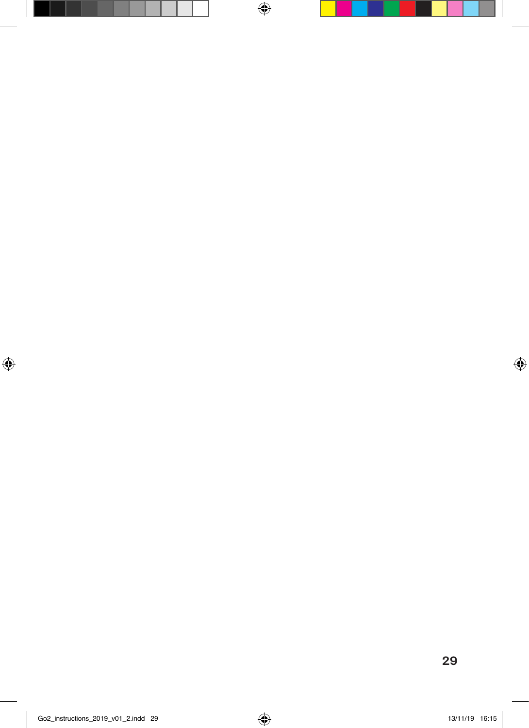

 $\bigoplus$ 

 $\overline{\phantom{a}}$ 

 $\bigoplus$ 

**29**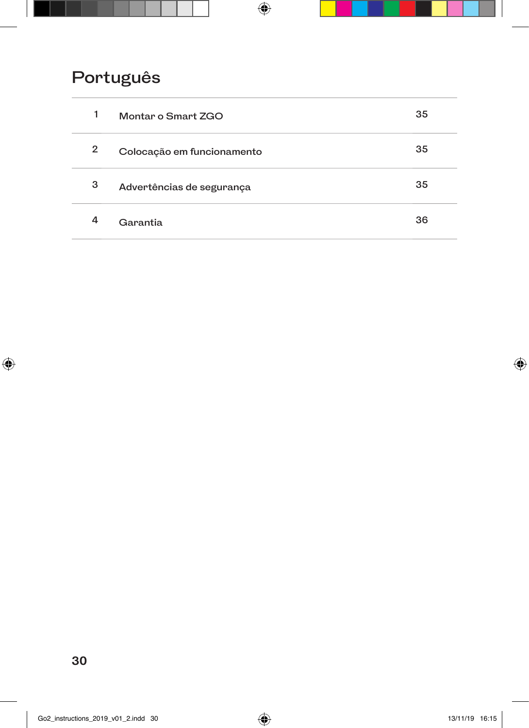# **Português**

| 1              | Montar o Smart ZGO         | 35 |
|----------------|----------------------------|----|
| $\overline{2}$ | Colocação em funcionamento | 35 |
| 3              | Advertências de segurança  | 35 |
| 4              | Garantia                   | 36 |

 $\bigoplus$ 

 $\bigcirc$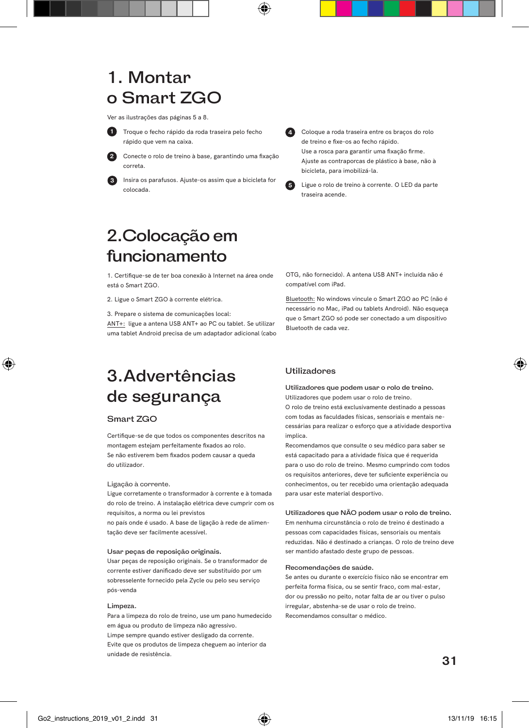### **1. Montar o Smart ZGO**

Ver as ilustrações das páginas 5 a 8.



**2**

Troque o fecho rápido da roda traseira pelo fecho rápido que vem na caixa.

Conecte o rolo de treino à base, garantindo uma fixação correta.

Insira os parafusos. Ajuste-os assim que a bicicleta for colocada. **3**

### Coloque a roda traseira entre os braços do rolo de treino e fixe-os ao fecho rápido. Use a rosca para garantir uma fixação firme. Ajuste as contraporcas de plástico à base, não à bicicleta, para imobilizá-la.

Ligue o rolo de treino à corrente. O LED da parte traseira acende. **5**

### **2.Colocação em funcionamento**

1. Certifique-se de ter boa conexão à Internet na área onde está o Smart ZGO.

2. Ligue o Smart ZGO à corrente elétrica.

3. Prepare o sistema de comunicações local:

ANT+: ligue a antena USB ANT+ ao PC ou tablet. Se utilizar uma tablet Android precisa de um adaptador adicional (cabo

### **3.Advertências de segurança**

### **Smart ZGO**

◈

Certifique-se de que todos os componentes descritos na montagem estejam perfeitamente fixados ao rolo. Se não estiverem bem fixados podem causar a queda do utilizador.

#### Ligação à corrente.

Ligue corretamente o transformador à corrente e à tomada do rolo de treino. A instalação elétrica deve cumprir com os requisitos, a norma ou lei previstos

no país onde é usado. A base de ligação à rede de alimentação deve ser facilmente acessível.

### **Usar peças de reposição originais.**

Usar peças de reposição originais. Se o transformador de corrente estiver danificado deve ser substituído por um sobresselente fornecido pela Zycle ou pelo seu serviço pós-venda

### **Limpeza.**

Para a limpeza do rolo de treino, use um pano humedecido em água ou produto de limpeza não agressivo. Limpe sempre quando estiver desligado da corrente. Evite que os produtos de limpeza cheguem ao interior da unidade de resistência.

OTG, não fornecido). A antena USB ANT+ incluída não é compatível com iPad.

Bluetooth: No windows vincule o Smart ZGO ao PC (não é necessário no Mac, iPad ou tablets Android). Não esqueça que o Smart ZGO só pode ser conectado a um dispositivo Bluetooth de cada vez.

### **Utilizadores**

**4**

⊕

**Utilizadores que podem usar o rolo de treino.** Utilizadores que podem usar o rolo de treino.

O rolo de treino está exclusivamente destinado a pessoas com todas as faculdades físicas, sensoriais e mentais necessárias para realizar o esforço que a atividade desportiva implica.

Recomendamos que consulte o seu médico para saber se está capacitado para a atividade física que é requerida para o uso do rolo de treino. Mesmo cumprindo com todos os requisitos anteriores, deve ter suficiente experiência ou conhecimentos, ou ter recebido uma orientação adequada para usar este material desportivo.

**Utilizadores que NÃO podem usar o rolo de treino.**  Em nenhuma circunstância o rolo de treino é destinado a pessoas com capacidades físicas, sensoriais ou mentais reduzidas. Não é destinado a crianças. O rolo de treino deve ser mantido afastado deste grupo de pessoas.

### **Recomendações de saúde.**

Se antes ou durante o exercício físico não se encontrar em perfeita forma física, ou se sentir fraco, com mal-estar, dor ou pressão no peito, notar falta de ar ou tiver o pulso irregular, abstenha-se de usar o rolo de treino. Recomendamos consultar o médico.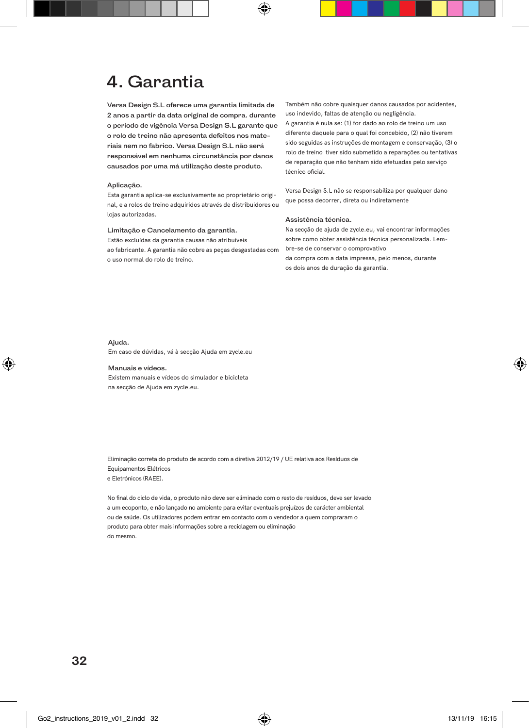### **4. Garantia**

**Versa Design S.L oferece uma garantia limitada de 2 anos a partir da data original de compra. durante o período de vigência Versa Design S.L garante que o rolo de treino não apresenta defeitos nos materiais nem no fabrico. Versa Design S.L não será responsável em nenhuma circunstância por danos causados por uma má utilização deste produto.**

### **Aplicação.**

Esta garantia aplica-se exclusivamente ao proprietário original, e a rolos de treino adquiridos através de distribuidores ou lojas autorizadas.

### **Limitação e Cancelamento da garantia.**

Estão excluídas da garantia causas não atribuíveis ao fabricante. A garantia não cobre as peças desgastadas com bre-se de conservar o comprovativo o uso normal do rolo de treino.

Também não cobre quaisquer danos causados por acidentes, uso indevido, faltas de atenção ou negligência.

A garantia é nula se: (1) for dado ao rolo de treino um uso diferente daquele para o qual foi concebido, (2) não tiverem sido seguidas as instruções de montagem e conservação, (3) o rolo de treino tiver sido submetido a reparações ou tentativas de reparação que não tenham sido efetuadas pelo serviço técnico oficial.

Versa Design S.L não se responsabiliza por qualquer dano que possa decorrer, direta ou indiretamente

#### **Assistência técnica.**

⊕

Na secção de ajuda de zycle.eu, vai encontrar informações sobre como obter assistência técnica personalizada. Lem-

da compra com a data impressa, pelo menos, durante os dois anos de duração da garantia.

### **Ajuda.**

◈

Em caso de dúvidas, vá à secção Ajuda em zycle.eu

#### **Manuais e vídeos.**

Existem manuais e vídeos do simulador e bicicleta na secção de Ajuda em zycle.eu.

Eliminação correta do produto de acordo com a diretiva 2012/19 / UE relativa aos Resíduos de Equipamentos Elétricos e Eletrónicos (RAEE).

No final do ciclo de vida, o produto não deve ser eliminado com o resto de resíduos, deve ser levado a um ecoponto, e não lançado no ambiente para evitar eventuais prejuízos de carácter ambiental ou de saúde. Os utilizadores podem entrar em contacto com o vendedor a quem compraram o produto para obter mais informações sobre a reciclagem ou eliminação do mesmo.

### **32**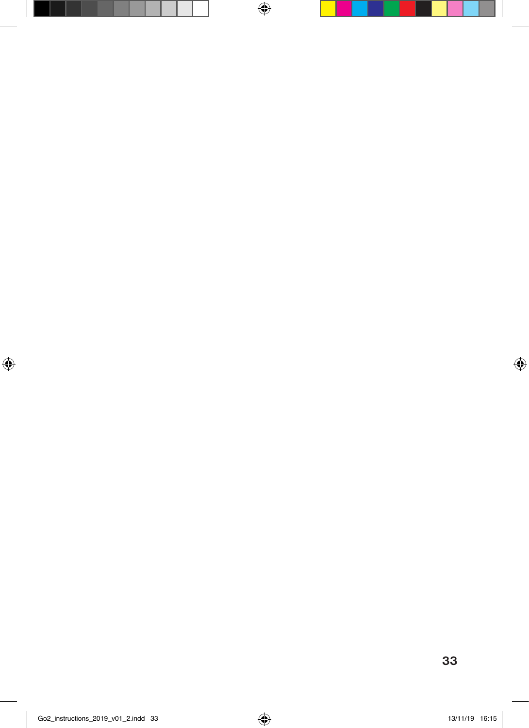

 $\bigoplus$ 

 $\overline{\phantom{a}}$ 

 $\bigoplus$ 

**33**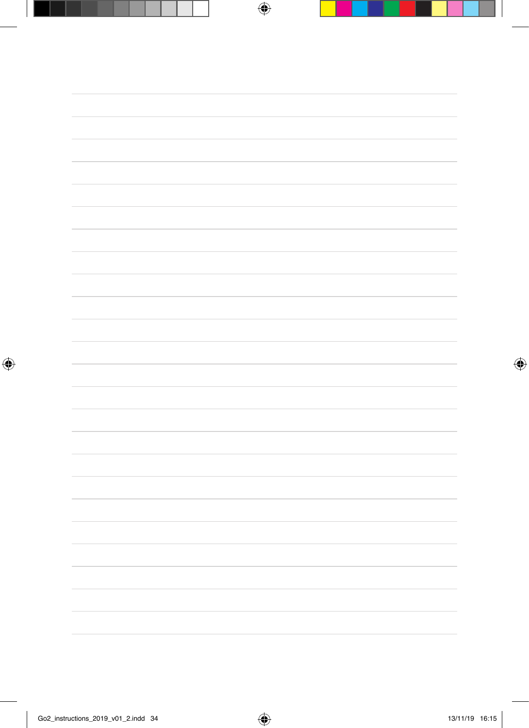|             |                                                                                  | $\bigoplus$ |                                                                                 |             |
|-------------|----------------------------------------------------------------------------------|-------------|---------------------------------------------------------------------------------|-------------|
|             |                                                                                  |             |                                                                                 |             |
|             |                                                                                  |             |                                                                                 |             |
|             |                                                                                  |             |                                                                                 |             |
|             |                                                                                  |             |                                                                                 |             |
|             |                                                                                  |             |                                                                                 |             |
|             |                                                                                  |             |                                                                                 |             |
|             |                                                                                  |             |                                                                                 |             |
|             |                                                                                  |             |                                                                                 |             |
|             | ,我们也不会有什么?""我们的人,我们也不会有什么?""我们的人,我们也不会有什么?""我们的人,我们也不会有什么?""我们的人,我们也不会有什么?""我们的人 |             |                                                                                 |             |
|             |                                                                                  |             | and the con-                                                                    |             |
|             |                                                                                  |             |                                                                                 |             |
|             |                                                                                  |             |                                                                                 |             |
|             |                                                                                  |             | $\sim$                                                                          |             |
|             |                                                                                  |             |                                                                                 |             |
|             |                                                                                  |             | $\overline{\phantom{a}}$                                                        |             |
| $\bigoplus$ |                                                                                  |             |                                                                                 | $\bigoplus$ |
|             |                                                                                  |             |                                                                                 |             |
|             |                                                                                  |             |                                                                                 |             |
|             |                                                                                  |             |                                                                                 |             |
|             |                                                                                  |             |                                                                                 |             |
|             |                                                                                  |             |                                                                                 |             |
|             |                                                                                  |             |                                                                                 |             |
|             |                                                                                  |             |                                                                                 |             |
|             |                                                                                  |             |                                                                                 |             |
|             |                                                                                  |             |                                                                                 |             |
|             |                                                                                  |             |                                                                                 |             |
|             |                                                                                  |             | the contract of the contract of the contract of the contract of the contract of |             |
|             |                                                                                  |             | $\overline{\phantom{a}}$                                                        |             |
|             |                                                                                  |             | $\overline{\phantom{a}}$                                                        |             |
|             |                                                                                  |             |                                                                                 |             |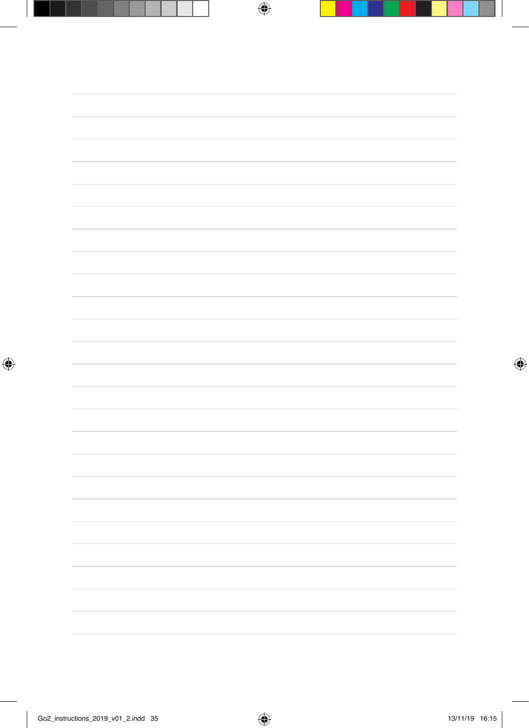|             |                                                                                  | $\bigoplus$ |                          |             |
|-------------|----------------------------------------------------------------------------------|-------------|--------------------------|-------------|
|             |                                                                                  |             |                          |             |
|             |                                                                                  |             |                          |             |
|             |                                                                                  |             |                          |             |
|             |                                                                                  |             |                          |             |
|             |                                                                                  |             |                          |             |
|             |                                                                                  |             |                          |             |
|             |                                                                                  |             |                          |             |
|             |                                                                                  |             |                          |             |
|             |                                                                                  |             |                          |             |
|             | ,我们也不会有什么?""我们的人,我们也不会有什么?""我们的人,我们也不会有什么?""我们的人,我们也不会有什么?""我们的人,我们也不会有什么?""我们的人 |             |                          |             |
|             |                                                                                  |             | and the con-             |             |
|             |                                                                                  |             |                          |             |
|             |                                                                                  |             |                          |             |
|             |                                                                                  |             | $\sim$                   |             |
|             |                                                                                  |             |                          |             |
|             |                                                                                  |             | $\sim$                   |             |
| $\bigoplus$ |                                                                                  |             |                          | $\bigoplus$ |
|             |                                                                                  |             |                          |             |
|             |                                                                                  |             |                          |             |
|             |                                                                                  |             |                          |             |
|             |                                                                                  |             |                          |             |
|             |                                                                                  |             |                          |             |
|             |                                                                                  |             |                          |             |
|             |                                                                                  |             |                          |             |
|             |                                                                                  |             |                          |             |
|             |                                                                                  |             |                          |             |
|             |                                                                                  |             |                          |             |
|             |                                                                                  |             | $\sim$                   |             |
|             |                                                                                  |             |                          |             |
|             |                                                                                  |             | $\overline{\phantom{a}}$ |             |
|             |                                                                                  |             |                          |             |